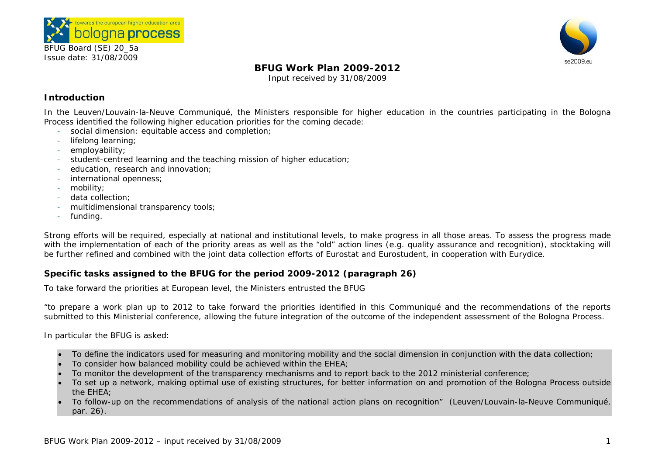



# **BFUG Work Plan 2009-2012**

Input received by 31/08/2009

# **Introduction**

In the Leuven/Louvain-la-Neuve Communiqué, the Ministers responsible for higher education in the countries participating in the Bologna Process identified the following higher education priorities for the coming decade:

- social dimension: equitable access and completion;
- lifelong learning;
- employability;
- student-centred learning and the teaching mission of higher education;
- education, research and innovation;
- international openness;
- mobility;
- data collection;
- multidimensional transparency tools;
- funding.

Strong efforts will be required, especially at national and institutional levels, to make progress in all those areas. To assess the progress made with the implementation of each of the priority areas as well as the "old" action lines (e.g. quality assurance and recognition), stocktaking will be further refined and combined with the joint data collection efforts of Eurostat and Eurostudent, in cooperation with Eurydice.

# **Specific tasks assigned to the BFUG for the period 2009-2012 (paragraph 26)**

To take forward the priorities at European level, the Ministers entrusted the BFUG

*"to prepare a work plan up to 2012 to take forward the priorities identified in this Communiqué and the recommendations of the reports submitted to this Ministerial conference, allowing the future integration of the outcome of the independent assessment of the Bologna Process*.

*In particular the BFUG is asked:* 

- •*To define the indicators used for measuring and monitoring mobility and the social dimension in conjunction with the data collection;*
- •*To consider how balanced mobility could be achieved within the EHEA;*
- •*To monitor the development of the transparency mechanisms and to report back to the 2012 ministerial conference;*
- • *To set up a network, making optimal use of existing structures, for better information on and promotion of the Bologna Process outside the EHEA;*
- • *To follow-up on the recommendations of analysis of the national action plans on recognition" (*Leuven/Louvain-la-Neuve Communiqué, par. 26).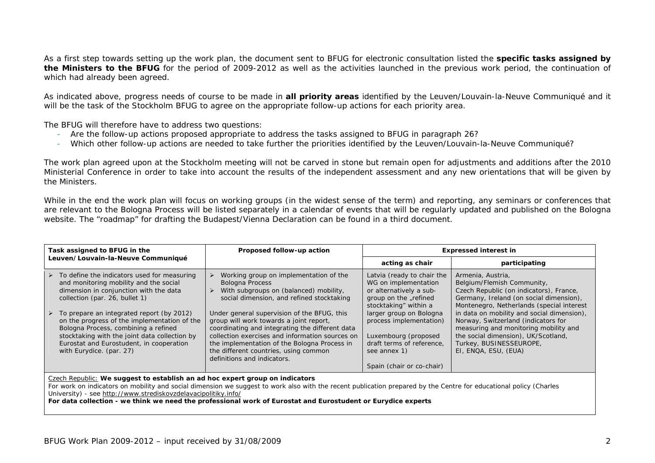As a first step towards setting up the work plan, the document sent to BFUG for electronic consultation listed the **specific tasks assigned by the Ministers to the BFUG** for the period of 2009-2012 as well as the activities launched in the previous work period, the continuation of which had already been agreed.

As indicated above, progress needs of course to be made in **all priority areas** identified by the Leuven/Louvain-la-Neuve Communiqué and it will be the task of the Stockholm BFUG to agree on the appropriate follow-up actions for each priority area.

The BFUG will therefore have to address two questions:

- Are the follow-up actions proposed appropriate to address the tasks assigned to BFUG in paragraph 26?
- Which other follow-up actions are needed to take further the priorities identified by the Leuven/Louvain-la-Neuve Communiqué?

The work plan agreed upon at the Stockholm meeting will not be carved in stone but remain open for adjustments and additions after the 2010 Ministerial Conference in order to take into account the results of the independent assessment and any new orientations that will be given by the Ministers.

While in the end the work plan will focus on working groups (in the widest sense of the term) and reporting, any seminars or conferences that are relevant to the Bologna Process will be listed separately in a calendar of events that will be regularly updated and published on the Bologna website. The "roadmap" for drafting the Budapest/Vienna Declaration can be found in a third document.

| Task assigned to BFUG in the |                                                                                                                                                                                                                                                  | Proposed follow-up action                                                                                                                                                                                                                                             | <b>Expressed interest in</b>                                                                                                                               |                                                                                                                                                                                                                                  |
|------------------------------|--------------------------------------------------------------------------------------------------------------------------------------------------------------------------------------------------------------------------------------------------|-----------------------------------------------------------------------------------------------------------------------------------------------------------------------------------------------------------------------------------------------------------------------|------------------------------------------------------------------------------------------------------------------------------------------------------------|----------------------------------------------------------------------------------------------------------------------------------------------------------------------------------------------------------------------------------|
|                              | Leuven/Louvain-la-Neuve Communiqué                                                                                                                                                                                                               |                                                                                                                                                                                                                                                                       | acting as chair                                                                                                                                            | participating                                                                                                                                                                                                                    |
|                              | $\triangleright$ To define the indicators used for measuring<br>and monitoring mobility and the social<br>dimension in conjunction with the data<br>collection (par. 26, bullet 1)<br>$\triangleright$ To prepare an integrated report (by 2012) | Working group on implementation of the<br><b>Bologna Process</b><br>$\triangleright$ With subgroups on (balanced) mobility,<br>social dimension, and refined stocktaking<br>Under general supervision of the BFUG, this                                               | Latvia (ready to chair the<br>WG on implementation<br>or alternatively a sub-<br>group on the "refined<br>stocktaking" within a<br>larger group on Bologna | Armenia, Austria,<br>Belgium/Flemish Community,<br>Czech Republic (on indicators), France,<br>Germany, Ireland (on social dimension),<br>Montenegro, Netherlands (special interest<br>in data on mobility and social dimension), |
|                              | on the progress of the implementation of the<br>Bologna Process, combining a refined<br>stocktaking with the joint data collection by<br>Eurostat and Eurostudent, in cooperation<br>with Eurydice. (par. 27)                                    | group will work towards a joint report,<br>coordinating and integrating the different data<br>collection exercises and information sources on<br>the implementation of the Bologna Process in<br>the different countries, using common<br>definitions and indicators. | process implementation)<br>Luxembourg (proposed<br>draft terms of reference,<br>see annex 1)<br>Spain (chair or co-chair)                                  | Norway, Switzerland (indicators for<br>measuring and monitoring mobility and<br>the social dimension), UK/Scotland,<br>Turkey, BUSINESSEUROPE,<br>EI, ENQA, ESU, (EUA)                                                           |

Czech Republic: **We suggest to establish an ad hoc expert group on indicators** 

For work on indicators on mobility and social dimension we suggest to work also with the recent publication prepared by the Centre for educational policy (Charles University) - see http://www.strediskovzdelavacipolitiky.info/

**For data collection - we think we need the professional work of Eurostat and Eurostudent or Eurydice experts**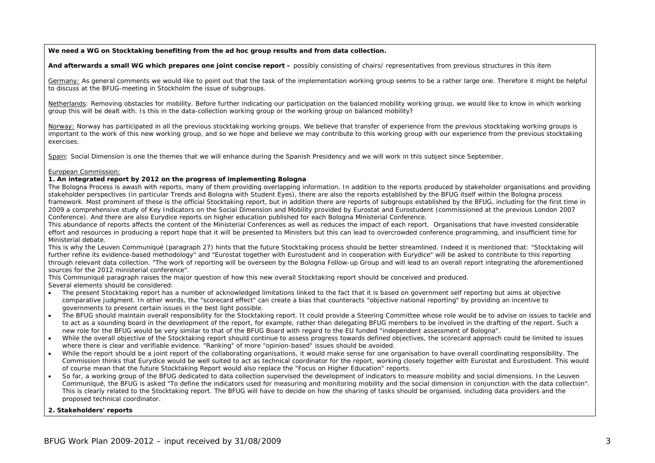**We need a WG on Stocktaking benefiting from the ad hoc group results and from data collection.** 

And afterwards a small WG which prepares one joint concise report – possibly consisting of chairs/ representatives from previous structures in this item

Germany: As general comments we would like to point out that the task of the implementation working group seems to be a rather large one. Therefore it might be helpful to discuss at the BFUG-meeting in Stockholm the issue of subgroups.

Netherlands: Removing obstacles for mobility. Before further indicating our participation on the balanced mobility working group, we would like to know in which working group this will be dealt with. Is this in the data-collection working group or the working group on balanced mobility?

Norway: Norway has participated in all the previous stocktaking working groups. We believe that transfer of experience from the previous stocktaking working groups is important to the work of this new working group, and so we hope and believe we may contribute to this working group with our experience from the previous stocktaking exercises.

Spain: Social Dimension is one the themes that we will enhance during the Spanish Presidency and we will work in this subject since September.

#### European Commission:

#### **1. An integrated report by 2012 on the progress of implementing Bologna**

The Bologna Process is awash with reports, many of them providing overlapping information. In addition to the reports produced by stakeholder organisations and providing stakeholder perspectives (in particular *Trends* and *Bologna with Student Eyes*), there are also the reports established by the BFUG itself within the Bologna process framework. Most prominent of these is the official Stocktaking report, but in addition there are reports of subgroups established by the BFUG, including for the first time in 2009 a comprehensive study of *Key Indicators on the Social Dimension and Mobility* provided by Eurostat and Eurostudent (commissioned at the previous London 2007 Conference). And there are also Eurydice reports on higher education published for each Bologna Ministerial Conference.

This abundance of reports affects the content of the Ministerial Conferences as well as reduces the impact of each report. Organisations that have invested considerable effort and resources in producing a report hope that it will be presented to Ministers but this can lead to overcrowded conference programming, and insufficient time for Ministerial debate.

This is why the Leuven Communiqué (paragraph 27) hints that the future Stocktaking process should be better streamlined. Indeed it is mentioned that: "Stocktaking will further refine its evidence-based methodology" and "Eurostat together with Eurostudent and in cooperation with Eurydice" will be asked to contribute to this reporting through relevant data collection. "The work of reporting will be overseen by the Bologna Follow-up Group and will lead to an overall report integrating the aforementioned sources for the 2012 ministerial conference".

This Communiqué paragraph raises the major question of how this new overall Stocktaking report should be conceived and produced. Several elements should be considered:

- The present Stocktaking report has a number of acknowledged limitations linked to the fact that it is based on government self reporting but aims at objective comparative judgment. In other words, the "scorecard effect" can create a bias that counteracts "objective national reporting" by providing an incentive to governments to present certain issues in the best light possible.
- • The BFUG should maintain overall responsibility for the Stocktaking report. It could provide a Steering Committee whose role would be to advise on issues to tackle and to act as a sounding board in the development of the report, for example, rather than delegating BFUG members to be involved in the drafting of the report. Such a new role for the BFUG would be very similar to that of the BFUG Board with regard to the EU funded "independent assessment of Bologna".
- •While the overall objective of the Stocktaking report should continue to assess progress towards defined objectives, the scorecard approach could be limited to issues where there is clear and verifiable evidence. "Ranking" of more "opinion-based" issues should be avoided.
- •While the report should be a joint report of the collaborating organisations, it would make sense for one organisation to have overall coordinating responsibility. The Commission thinks that Eurydice would be well suited to act as technical coordinator for the report, working closely together with Eurostat and Eurostudent. This would of course mean that the future Stocktaking Report would also replace the "Focus on Higher Education" reports.
- • So far, a working group of the BFUG dedicated to data collection supervised the development of indicators to measure mobility and social dimensions. In the Leuven Communiqué, the BFUG is asked "To define the indicators used for measuring and monitoring mobility and the social dimension in conjunction with the data collection". This is clearly related to the Stocktaking report. The BFUG will have to decide on how the sharing of tasks should be organised, including data providers and the proposed technical coordinator.

#### **2. Stakeholders' reports**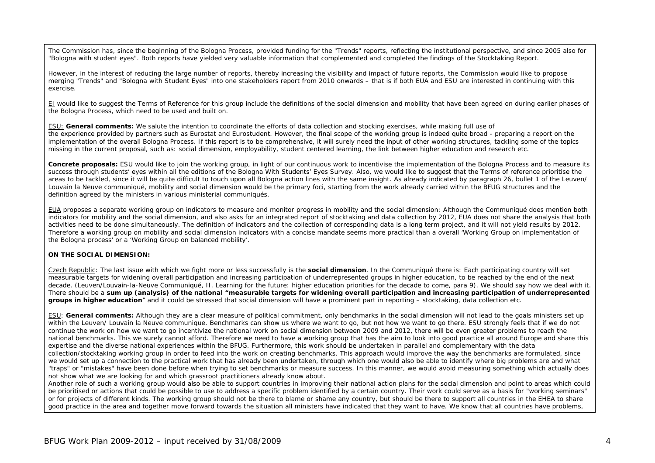The Commission has, since the beginning of the Bologna Process, provided funding for the "Trends" reports, reflecting the institutional perspective, and since 2005 also for "Bologna with student eyes". Both reports have yielded very valuable information that complemented and completed the findings of the Stocktaking Report.

However, in the interest of reducing the large number of reports, thereby increasing the visibility and impact of future reports, the Commission would like to propose merging "Trends" and "Bologna with Student Eyes" into one stakeholders report from 2010 onwards – that is if both EUA and ESU are interested in continuing with this exercise.

EI would like to suggest the Terms of Reference for this group include the definitions of the social dimension and mobility that have been agreed on during earlier phases of the Bologna Process, which need to be used and built on.

ESU: **General comments:** We salute the intention to coordinate the efforts of data collection and stocking exercises, while making full use of the experience provided by partners such as Eurostat and Eurostudent. However, the final scope of the working group is indeed quite broad - preparing a report on the implementation of the overall Bologna Process. If this report is to be comprehensive, it will surely need the input of other working structures, tackling some of the topics missing in the current proposal, such as: social dimension, employability, student centered learning, the link between higher education and research etc.

Concrete proposals: ESU would like to join the working group, in light of our continuous work to incentivise the implementation of the Bologna Process and to measure its success through students' eyes within all the editions of the Bologna With Students' Eyes Survey. Also, we would like to suggest that the Terms of reference prioritise the areas to be tackled, since it will be quite difficult to touch upon all Bologna action lines with the same insight. As already indicated by paragraph 26, bullet 1 of the Leuven/ Louvain la Neuve communiqué, mobility and social dimension would be the primary foci, starting from the work already carried within the BFUG structures and the definition agreed by the ministers in various ministerial communiqués.

EUA proposes a separate working group on indicators to measure and monitor progress in mobility and the social dimension: Although the Communiqué does mention both indicators for mobility and the social dimension, and also asks for an integrated report of stocktaking and data collection by 2012, EUA does not share the analysis that both activities need to be done simultaneously. The definition of indicators and the collection of corresponding data is a long term project, and it will not yield results by 2012. Therefore a working group on mobility and social dimension indicators with a concise mandate seems more practical than a overall 'Working Group on implementation of the Bologna process' or a 'Working Group on balanced mobility'.

#### **ON THE SOCIAL DIMENSION:**

Czech Republic: The last issue with which we fight more or less successfully is the **social dimension**. In the Communiqué there is: *Each participating country will set measurable targets for widening overall participation and increasing participation of underrepresented groups in higher education, to be reached by the end of the next decade.* (Leuven/Louvain-la-Neuve Communiqué, II. Learning for the future: higher education priorities for the decade to come, para 9). We should say how we deal with it. There should be a **sum up (analysis) of the national "***measurable targets for widening overall participation and increasing participation of underrepresented groups in higher education*<sup>*"*</sup> and it could be stressed that social dimension will have a prominent part in reporting – stocktaking, data collection etc.

ESU: **General comments:** Although they are a clear measure of political commitment, only benchmarks in the social dimension will not lead to the goals ministers set up within the Leuven/ Louvain la Neuve communique. Benchmarks can show us where we want to go, but not how we want to go there. ESU strongly feels that if we do not continue the work on how we want to go incentivize the national work on social dimension between 2009 and 2012, there will be even greater problems to reach the national benchmarks. This we surely cannot afford. Therefore we need to have a working group that has the aim to look into good practice all around Europe and share this expertise and the diverse national experiences within the BFUG. Furthermore, this work should be undertaken in parallel and complementary with the data collection/stocktaking working group in order to feed into the work on creating benchmarks. This approach would improve the way the benchmarks are formulated, since we would set up a connection to the practical work that has already been undertaken, through which one would also be able to identify where big problems are and what "traps" or "mistakes" have been done before when trying to set benchmarks or measure success. In this manner, we would avoid measuring something which actually does not show what we are looking for and which grassroot practitioners already know about.

Another role of such a working group would also be able to support countries in improving their national action plans for the social dimension and point to areas which could be prioritised or actions that could be possible to use to address a specific problem identified by a certain country. Their work could serve as a basis for "working seminars" or for projects of different kinds. The working group should not be there to blame or shame any country, but should be there to support all countries in the EHEA to share good practice in the area and together move forward towards the situation all ministers have indicated that they want to have. We know that all countries have problems,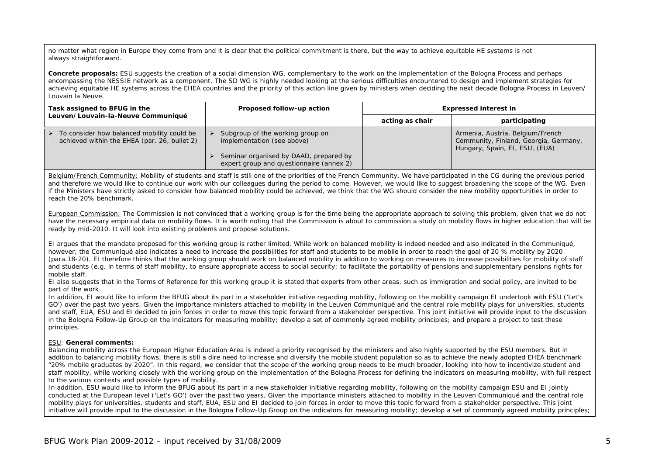no matter what region in Europe they come from and it is clear that the political commitment is there, but the way to achieve equitable HE systems is not always straightforward.

**Concrete proposals:** ESU suggests the creation of a social dimension WG, complementary to the work on the implementation of the Bologna Process and perhaps encompassing the NESSIE network as a component. The SD WG is highly needed looking at the serious difficulties encountered to design and implement strategies for achieving equitable HE systems across the EHEA countries and the priority of this action line given by ministers when deciding the next decade Bologna Process in Leuven/ Louvain la Neuve.

| Task assigned to BFUG in the                                                                                | Proposed follow-up action                                                                                | <b>Expressed interest in</b> |                                                                                                             |
|-------------------------------------------------------------------------------------------------------------|----------------------------------------------------------------------------------------------------------|------------------------------|-------------------------------------------------------------------------------------------------------------|
| Leuven/Louvain-la-Neuve Communiqué                                                                          |                                                                                                          | acting as chair              | participating                                                                                               |
| $\triangleright$ To consider how balanced mobility could be<br>achieved within the EHEA (par. 26, bullet 2) | Subgroup of the working group on<br>implementation (see above)<br>Seminar organised by DAAD, prepared by |                              | Armenia, Austria, Belgium/French<br>Community, Finland, Georgia, Germany,<br>Hungary, Spain, EI, ESU, (EUA) |
|                                                                                                             | expert group and questionnaire (annex 2)                                                                 |                              |                                                                                                             |

Belgium/French Community: Mobility of students and staff is still one of the priorities of the French Community. We have participated in the CG during the previous period and therefore we would like to continue our work with our colleagues during the period to come. However, we would like to suggest broadening the scope of the WG. Even if the Ministers have strictly asked to consider how balanced mobility could be achieved, we think that the WG should consider the new mobility opportunities in order to reach the 20% benchmark.

European Commission: The Commission is not convinced that a working group is for the time being the appropriate approach to solving this problem, given that we do not have the necessary empirical data on mobility flows. It is worth noting that the Commission is about to commission a study on mobility flows in higher education that will be ready by mid-2010. It will look into existing problems and propose solutions.

EI argues that the mandate proposed for this working group is rather limited. While work on balanced mobility is indeed needed and also indicated in the Communiqué, however, the Communiqué also indicates a need to increase the possibilities for staff and students to be mobile in order to reach the goal of 20 % mobility by 2020 (para.18-20). EI therefore thinks that the working group should work on balanced mobility in addition to working on measures to increase possibilities for mobility of staff and students (e.g. in terms of staff mobility, to ensure appropriate access to social security; to facilitate the portability of pensions and supplementary pensions rights for mobile staff.

EI also suggests that in the Terms of Reference for this working group it is stated that experts from other areas, such as immigration and social policy, are invited to be part of the work.

In addition, EI would like to inform the BFUG about its part in a stakeholder initiative regarding mobility, following on the mobility campaign EI undertook with ESU ('Let's GO') over the past two years. Given the importance ministers attached to mobility in the Leuven Communiqué and the central role mobility plays for universities, students and staff, EUA, ESU and EI decided to join forces in order to move this topic forward from a stakeholder perspective. This joint initiative will provide input to the discussion in the Bologna Follow-Up Group on the indicators for measuring mobility; develop a set of commonly agreed mobility principles; and prepare a project to test these principles.

#### ESU: **General comments:**

Balancing mobility across the European Higher Education Area is indeed a priority recognised by the ministers and also highly supported by the ESU members. But in addition to balancing mobility flows, there is still a dire need to increase and diversify the mobile student population so as to achieve the newly adopted EHEA benchmark "20% mobile graduates by 2020". In this regard, we consider that the scope of the working group needs to be much broader, looking into how to incentivize student and staff mobility, while working closely with the working group on the implementation of the Bologna Process for defining the indicators on measuring mobility, with full respect to the various contexts and possible types of mobility.

In addition, ESU would like to inform the BFUG about its part in a new stakeholder initiative regarding mobility, following on the mobility campaign ESU and EI jointly conducted at the European level ('Let's GO') over the past two years. Given the importance ministers attached to mobility in the Leuven Communiqué and the central role mobility plays for universities, students and staff, EUA, ESU and EI decided to join forces in order to move this topic forward from a stakeholder perspective. This joint initiative will provide input to the discussion in the Bologna Follow-Up Group on the indicators for measuring mobility; develop a set of commonly agreed mobility principles;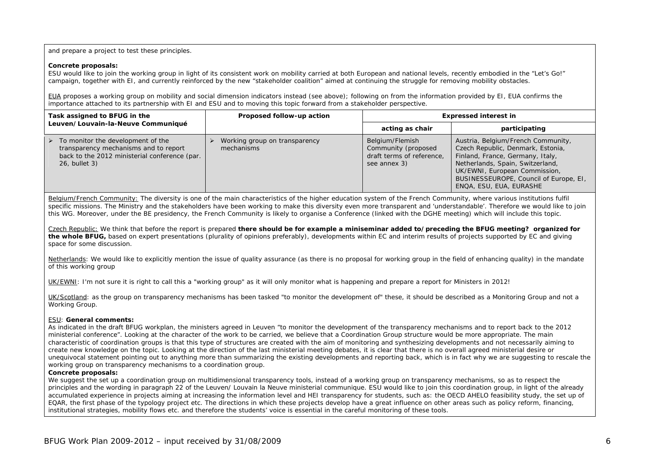and prepare a project to test these principles.

#### **Concrete proposals:**

ESU would like to join the working group in light of its consistent work on mobility carried at both European and national levels, recently embodied in the "Let's Go!" campaign, together with EI, and currently reinforced by the new "stakeholder coalition" aimed at continuing the struggle for removing mobility obstacles.

EUA proposes a working group on mobility and social dimension indicators instead (see above); following on from the information provided by EI, EUA confirms the importance attached to its partnership with EI and ESU and to moving this topic forward from a stakeholder perspective.

| Task assigned to BFUG in the                                                                                                                                  | Proposed follow-up action                   | <b>Expressed interest in</b>                                                        |                                                                                                                                                                                                                                                       |
|---------------------------------------------------------------------------------------------------------------------------------------------------------------|---------------------------------------------|-------------------------------------------------------------------------------------|-------------------------------------------------------------------------------------------------------------------------------------------------------------------------------------------------------------------------------------------------------|
| Leuven/Louvain-la-Neuve Communiqué                                                                                                                            |                                             | acting as chair                                                                     | participating                                                                                                                                                                                                                                         |
| $\triangleright$ To monitor the development of the<br>transparency mechanisms and to report<br>back to the 2012 ministerial conference (par.<br>26, bullet 3) | Working group on transparency<br>mechanisms | Belgium/Flemish<br>Community (proposed<br>draft terms of reference.<br>see annex 3) | Austria, Belgium/French Community,<br>Czech Republic, Denmark, Estonia,<br>Finland, France, Germany, Italy,<br>Netherlands, Spain, Switzerland,<br>UK/EWNI, European Commission,<br>BUSINESSEUROPE, Council of Europe, EI,<br>ENQA, ESU, EUA, EURASHE |

Belgium/French Community: The diversity is one of the main characteristics of the higher education system of the French Community, where various institutions fulfil specific missions. The Ministry and the stakeholders have been working to make this diversity even more transparent and 'understandable'. Therefore we would like to join this WG. Moreover, under the BE presidency, the French Community is likely to organise a Conference (linked with the DGHE meeting) which will include this topic.

Czech Republic: We think that before the report is prepared **there should be for example a miniseminar added to/preceding the BFUG meeting? organized for the whole BFUG,** based on expert presentations (plurality of opinions preferably), developments within EC and interim results of projects supported by EC and giving space for some discussion.

Netherlands: We would like to explicitly mention the issue of quality assurance (as there is no proposal for working group in the field of enhancing quality) in the mandate of this working group

UK/EWNI: I'm not sure it is right to call this a "working group" as it will only monitor what is happening and prepare a report for Ministers in 2012!

UK/Scotland: as the group on transparency mechanisms has been tasked "to monitor the development of" these, it should be described as a Monitoring Group and not a Working Group.

#### ESU: **General comments:**

As indicated in the draft BFUG workplan, the ministers agreed in Leuven "to monitor the development of the transparency mechanisms and to report back to the 2012 ministerial conference". Looking at the character of the work to be carried, we believe that a Coordination Group structure would be more appropriate. The main characteristic of coordination groups is that this type of structures are created with the aim of monitoring and synthesizing developments and not necessarily aiming to create new knowledge on the topic. Looking at the direction of the last ministerial meeting debates, it is clear that there is no overall agreed ministerial desire or unequivocal statement pointing out to anything more than summarizing the existing developments and reporting back, which is in fact why we are suggesting to rescale the working group on transparency mechanisms to a coordination group.

#### **Concrete proposals:**

We suggest the set up a coordination group on multidimensional transparency tools, instead of a working group on transparency mechanisms, so as to respect the principles and the wording in paragraph 22 of the Leuven/ Louvain la Neuve ministerial communique. ESU would like to join this coordination group, in light of the already accumulated experience in projects aiming at increasing the information level and HEI transparency for students, such as: the OECD AHELO feasibility study, the set up of EQAR, the first phase of the typology project etc. The directions in which these projects develop have a great influence on other areas such as policy reform, financing, institutional strategies, mobility flows etc. and therefore the students' voice is essential in the careful monitoring of these tools.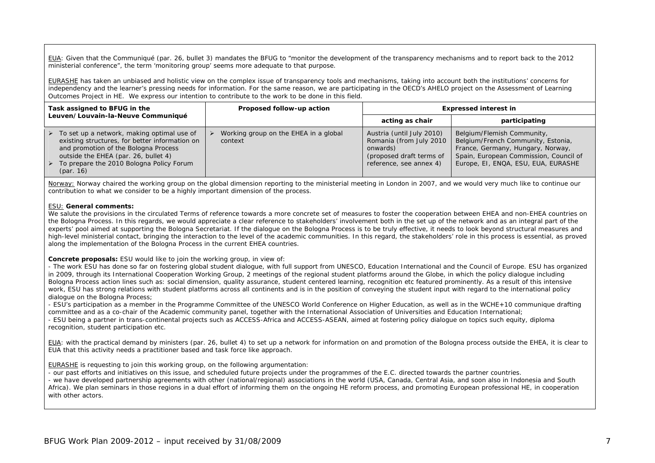EUA: Given that the Communiqué (par. 26, bullet 3) mandates the BFUG to "monitor the development of the transparency mechanisms and to report back to the 2012 ministerial conference", the term 'monitoring group' seems more adequate to that purpose.

EURASHE has taken an unbiased and holistic view on the complex issue of transparency tools and mechanisms, taking into account both the institutions' concerns for independency and the learner's pressing needs for information. For the same reason, we are participating in the OECD's AHELO project on the Assessment of Learning Outcomes Project in HE. We express our intention to contribute to the work to be done in this field.

| Task assigned to BFUG in the |                                                                                                                                                                                                                                                       |  | Proposed follow-up action                        | <b>Expressed interest in</b>                                                                                             |                                                                                                                                                                                        |
|------------------------------|-------------------------------------------------------------------------------------------------------------------------------------------------------------------------------------------------------------------------------------------------------|--|--------------------------------------------------|--------------------------------------------------------------------------------------------------------------------------|----------------------------------------------------------------------------------------------------------------------------------------------------------------------------------------|
|                              | Leuven/Louvain-la-Neuve Communiqué                                                                                                                                                                                                                    |  |                                                  | acting as chair                                                                                                          | participating                                                                                                                                                                          |
|                              | $\triangleright$ To set up a network, making optimal use of<br>existing structures, for better information on<br>and promotion of the Bologna Process<br>outside the EHEA (par. 26, bullet 4)<br>To prepare the 2010 Bologna Policy Forum<br>par. 16) |  | Working group on the EHEA in a global<br>context | Austria (until July 2010)<br>Romania (from July 2010)<br>onwards)<br>(proposed draft terms of<br>reference, see annex 4) | Belgium/Flemish Community,<br>Belgium/French Community, Estonia,<br>France, Germany, Hungary, Norway,<br>Spain, European Commission, Council of<br>Europe, EI, ENQA, ESU, EUA, EURASHE |

Norway: Norway chaired the working group on the global dimension reporting to the ministerial meeting in London in 2007, and we would very much like to continue our contribution to what we consider to be a highly important dimension of the process.

#### ESU: **General comments:**

We salute the provisions in the circulated Terms of reference towards a more concrete set of measures to foster the cooperation between EHEA and non-EHEA countries on the Bologna Process. In this regards, we would appreciate a clear reference to stakeholders' involvement both in the set up of the network and as an integral part of the experts' pool aimed at supporting the Bologna Secretariat. If the dialogue on the Bologna Process is to be truly effective, it needs to look beyond structural measures and high-level ministerial contact, bringing the interaction to the level of the academic communities. In this regard, the stakeholders' role in this process is essential, as proved along the implementation of the Bologna Process in the current EHEA countries.

#### **Concrete proposals:** ESU would like to join the working group, in view of:

- The work ESU has done so far on fostering global student dialogue, with full support from UNESCO, Education International and the Council of Europe. ESU has organized in 2009, through its International Cooperation Working Group, 2 meetings of the regional student platforms around the Globe, in which the policy dialogue including Bologna Process action lines such as: social dimension, quality assurance, student centered learning, recognition etc featured prominently. As a result of this intensive work, ESU has strong relations with student platforms across all continents and is in the position of conveying the student input with regard to the international policy dialogue on the Bologna Process;

- ESU's participation as a member in the Programme Committee of the UNESCO World Conference on Higher Education, as well as in the WCHE+10 communique drafting committee and as a co-chair of the Academic community panel, together with the International Association of Universities and Education International; - ESU being a partner in trans-continental projects such as ACCESS-Africa and ACCESS-ASEAN, aimed at fostering policy dialogue on topics such equity, diploma

recognition, student participation etc.

EUA: with the practical demand by ministers (par. 26, bullet 4) to set up a network for information on and promotion of the Bologna process outside the EHEA, it is clear to EUA that this activity needs a practitioner based and task force like approach.

EURASHE is requesting to join this working group, on the following argumentation:

- our past efforts and initiatives on this issue, and scheduled future projects under the programmes of the E.C. directed towards the partner countries. - we have developed partnership agreements with other (national/regional) associations in the world (USA, Canada, Central Asia, and soon also in Indonesia and South Africa). We plan seminars in those regions in a dual effort of informing them on the ongoing HE reform process, and promoting European professional HE, in cooperation with other actors.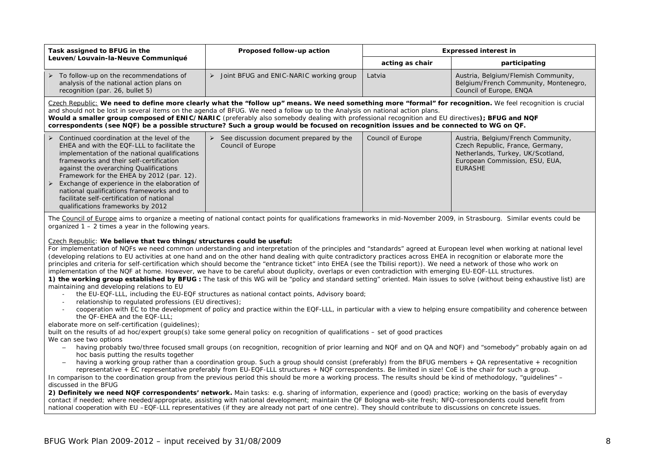| Task assigned to BFUG in the                                                                                                                                                                                                                                                                                                                                                                                                                                                                                                                                                                                                                                                                                        | Proposed follow-up action                                | <b>Expressed interest in</b> |                                                                                                         |  |
|---------------------------------------------------------------------------------------------------------------------------------------------------------------------------------------------------------------------------------------------------------------------------------------------------------------------------------------------------------------------------------------------------------------------------------------------------------------------------------------------------------------------------------------------------------------------------------------------------------------------------------------------------------------------------------------------------------------------|----------------------------------------------------------|------------------------------|---------------------------------------------------------------------------------------------------------|--|
| Leuven/Louvain-la-Neuve Communiqué                                                                                                                                                                                                                                                                                                                                                                                                                                                                                                                                                                                                                                                                                  |                                                          | acting as chair              | participating                                                                                           |  |
| To follow-up on the recommendations of<br>➤<br>analysis of the national action plans on<br>recognition (par. 26, bullet 5)                                                                                                                                                                                                                                                                                                                                                                                                                                                                                                                                                                                          | $\triangleright$ Joint BFUG and ENIC-NARIC working group | Latvia                       | Austria, Belgium/Flemish Community,<br>Belgium/French Community, Montenegro,<br>Council of Europe, ENQA |  |
| Czech Republic: We need to define more clearly what the "follow up" means. We need something more "formal" for recognition. We feel recognition is crucial<br>and should not be lost in several items on the agenda of BFUG. We need a follow up to the Analysis on national action plans.<br>Would a smaller group composed of ENIC/NARIC (preferably also somebody dealing with professional recognition and EU directives); BFUG and NQF<br>correspondents (see NQF) be a possible structure? Such a group would be focused on recognition issues and be connected to WG on QF.                                                                                                                                  |                                                          |                              |                                                                                                         |  |
| Continued coordination at the level of the<br>See discussion document prepared by the<br>Council of Europe<br>Austria, Belgium/French Community,<br>Czech Republic, France, Germany,<br>EHEA and with the EOF-LLL to facilitate the<br>Council of Europe<br>Netherlands, Turkey, UK/Scotland,<br>implementation of the national qualifications<br>European Commission, ESU, EUA,<br>frameworks and their self-certification<br>against the overarching Qualifications<br><b>EURASHE</b><br>Framework for the EHEA by 2012 (par. 12).<br>Exchange of experience in the elaboration of<br>national qualifications frameworks and to<br>facilitate self-certification of national<br>qualifications frameworks by 2012 |                                                          |                              |                                                                                                         |  |
| The Council of Europe aims to organize a meeting of national contact points for qualifications frameworks in mid-November 2009, in Strasbourg. Similar events could be<br>organized $1 - 2$ times a year in the following years.                                                                                                                                                                                                                                                                                                                                                                                                                                                                                    |                                                          |                              |                                                                                                         |  |

#### Czech Republic: **We believe that two things/structures could be useful:**

For implementation of NQFs we need common understanding and interpretation of the principles and "standards" agreed at European level when working at national level (developing relations to EU activities at one hand and on the other hand dealing with quite contradictory practices across EHEA in recognition or elaborate more the principles and criteria for self-certification which should become the "entrance ticket" into EHEA (see the Tbilisi report)). We need a network of those who work on implementation of the NQF at home. However, we have to be careful about duplicity, overlaps or even contradiction with emerging EU-EQF-LLL structures.

1) the working group established by BFUG : The task of this WG will be "policy and standard setting" oriented. Main issues to solve (without being exhaustive list) are maintaining and developing relations to EU

- the EU-EQF-LLL, including the EU-EQF structures as national contact points, Advisory board;
- relationship to regulated professions (EU directives);
- cooperation with EC to the development of policy and practice within the EQF-LLL, in particular with a view to helping ensure compatibility and coherence between the QF-EHEA and the EQF-LLL;

#### elaborate more on self-certification (guidelines);

built on the results of ad hoc/expert group(s) take some general policy on recognition of qualifications – set of good practices

- We can see two options
	- having probably two/three focused small groups (on recognition, recognition of prior learning and NQF and on QA and NQF) and "somebody" probably again on ad hoc basis putting the results together
	- having a working group rather than a coordination group. Such a group should consist (preferably) from the BFUG members + QA representative + recognition representative + EC representative preferably from EU-EQF-LLL structures + NQF correspondents. Be limited in size! CoE is the chair for such a group.

In comparison to the coordination group from the previous period this should be more a working process. The results should be kind of methodology, "guidelines" – discussed in the BFUG

**2) Definitely we need NQF correspondents' network.** Main tasks: e.g. sharing of information, experience and (good) practice; working on the basis of everyday contact if needed; where needed/appropriate, assisting with national development; maintain the QF Bologna web-site fresh; NFQ-correspondents could benefit from national cooperation with EU –EQF-LLL representatives (if they are already not part of one centre). They should contribute to discussions on concrete issues.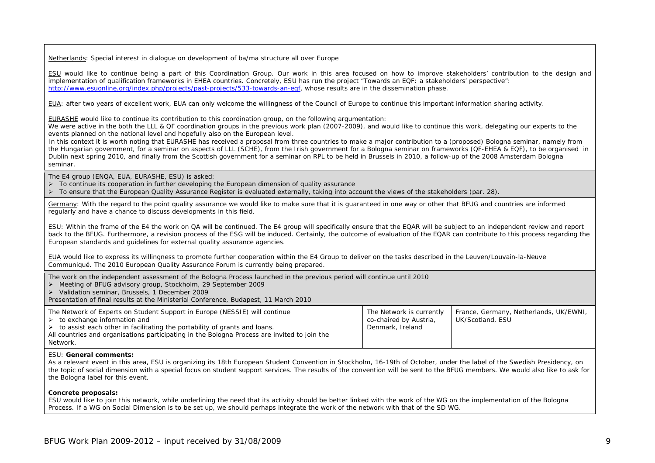Netherlands: Special interest in dialogue on development of ba/ma structure all over Europe

ESU would like to continue being a part of this Coordination Group. Our work in this area focused on how to improve stakeholders' contribution to the design and implementation of qualification frameworks in EHEA countries. Concretely, ESU has run the project "Towards an EQF: a stakeholders' perspective": http://www.esuonline.org/index.php/projects/past-projects/533-towards-an-eqf, whose results are in the dissemination phase.

EUA: after two years of excellent work, EUA can only welcome the willingness of the Council of Europe to continue this important information sharing activity.

EURASHE would like to continue its contribution to this coordination group, on the following argumentation:

We were active in the both the LLL & QF coordination groups in the previous work plan (2007-2009), and would like to continue this work, delegating our experts to the events planned on the national level and hopefully also on the European level.

In this context it is worth noting that EURASHE has received a proposal from three countries to make a major contribution to a (proposed) Bologna seminar, namely from the Hungarian government, for a seminar on aspects of LLL (SCHE), from the Irish government for a Bologna seminar on frameworks (QF-EHEA & EQF), to be organised in Dublin next spring 2010, and finally from the Scottish government for a seminar on RPL to be held in Brussels in 2010, a follow-up of the 2008 Amsterdam Bologna seminar.

The E4 group (ENQA, EUA, EURASHE, ESU) is asked:

- $\triangleright$  To continue its cooperation in further developing the European dimension of quality assurance
- ¾ To ensure that the European Quality Assurance Register is evaluated externally, taking into account the views of the stakeholders (par. 28).

Germany: With the regard to the point quality assurance we would like to make sure that it is guaranteed in one way or other that BFUG and countries are informed regularly and have a chance to discuss developments in this field.

ESU: Within the frame of the E4 the work on QA will be continued. The E4 group will specifically ensure that the EQAR will be subject to an independent review and report back to the BFUG. Furthermore, a revision process of the ESG will be induced. Certainly, the outcome of evaluation of the EQAR can contribute to this process regarding the European standards and guidelines for external quality assurance agencies.

EUA would like to express its willingness to promote further cooperation within the E4 Group to deliver on the tasks described in the Leuven/Louvain-la-Neuve Communiqué. The 2010 European Quality Assurance Forum is currently being prepared.

The work on the independent assessment of the Bologna Process launched in the previous period will continue until 2010

- ¾ Meeting of BFUG advisory group, Stockholm, 29 September 2009
- ¾ Validation seminar, Brussels, 1 December 2009

Presentation of final results at the Ministerial Conference, Budapest, 11 March 2010

| The Network of Experts on Student Support in Europe (NESSIE) will continue                   | The Network is currently | France, Germany, Netherlands, UK/EWNI, |
|----------------------------------------------------------------------------------------------|--------------------------|----------------------------------------|
| to exchange information and                                                                  | co-chaired by Austria,   | UK/Scotland, ESU                       |
| to assist each other in facilitating the portability of grants and loans.                    | Denmark, Ireland         |                                        |
| All countries and organisations participating in the Bologna Process are invited to join the |                          |                                        |
| Network.                                                                                     |                          |                                        |

#### ESU: **General comments:**

As a relevant event in this area, ESU is organizing its 18th European Student Convention in Stockholm, 16-19th of October, under the label of the Swedish Presidency, on the topic of social dimension with a special focus on student support services. The results of the convention will be sent to the BFUG members. We would also like to ask for the Bologna label for this event.

#### **Concrete proposals:**

ESU would like to join this network, while underlining the need that its activity should be better linked with the work of the WG on the implementation of the Bologna Process. If a WG on Social Dimension is to be set up, we should perhaps integrate the work of the network with that of the SD WG.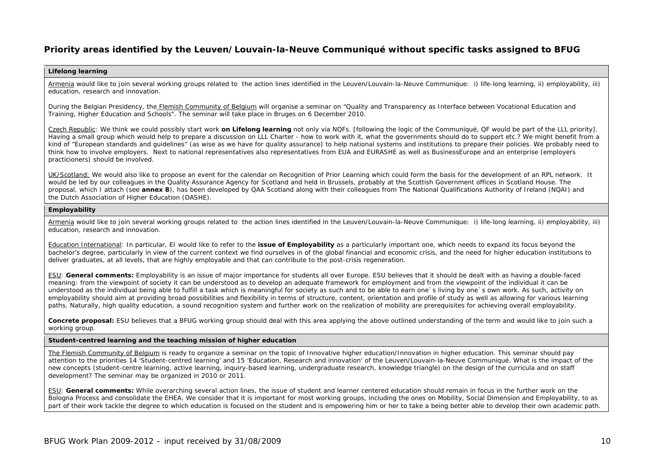# **Priority areas identified by the Leuven/Louvain-la-Neuve Communiqué without specific tasks assigned to BFUG**

#### **Lifelong learning**

Armenia would like to join several working groups related to the action lines identified in the Leuven/Louvain-la-Neuve Communique: i) life-long learning, ii) employability, iii) education, research and innovation.

During the Belgian Presidency, the Flemish Community of Belgium will organise a seminar on "Quality and Transparency as Interface between Vocational Education and Training, Higher Education and Schools". The seminar will take place in Bruges on 6 December 2010.

Czech Republic: We think we could possibly start work **on Lifelong learning** not only via NQFs. [following the logic of the Communiqué, QF would be part of the LLL priority]. Having a small group which would help to prepare a discussion on LLL Charter - how to work with it, what the governments should do to support etc.? We might benefit from a kind of "*European standards and guidelines" (*as wise as we have for quality assurance) to help national systems and institutions to prepare their policies. We probably need to think how to involve employers. Next to national representatives also representatives from EUA and EURASHE as well as BusinessEurope and an enterprise (employers practicioners) should be involved.

UK/Scotland: We would also like to propose an event for the calendar on Recognition of Prior Learning which could form the basis for the development of an RPL network. It would be led by our colleagues in the Quality Assurance Agency for Scotland and held in Brussels, probably at the Scottish Government offices in Scotland House. The proposal, which I attach (see **annex 8**), has been developed by QAA Scotland along with their colleagues from The National Qualifications Authority of Ireland (NQAI) and the Dutch Association of Higher Education (DASHE).

#### **Employability**

Armenia would like to join several working groups related to the action lines identified in the Leuven/Louvain-la-Neuve Communique: i) life-long learning, ii) employability, iii) education, research and innovation.

Education International: In particular, EI would like to refer to the **issue of Employability** as a particularly important one, which needs to expand its focus beyond the bachelor's degree, particularly in view of the current context we find ourselves in of the global financial and economic crisis, and the need for higher education institutions to deliver graduates, at all levels, that are highly employable and that can contribute to the post-crisis regeneration.

ESU: **General comments:** Employability is an issue of major importance for students all over Europe. ESU believes that it should be dealt with as having a double-faced meaning: from the viewpoint of society it can be understood as to develop an adequate framework for employment and from the viewpoint of the individual it can be understood as the individual being able to fulfill a task which is meaningful for society as such and to be able to earn one's living by one's own work. As such, activity on employability should aim at providing broad possibilities and flexibility in terms of structure, content, orientation and profile of study as well as allowing for various learning paths. Naturally, high quality education, a sound recognition system and further work on the realization of mobility are prerequisites for achieving overall employability.

**Concrete proposal:** ESU believes that a BFUG working group should deal with this area applying the above outlined understanding of the term and would like to join such a working group.

#### **Student-centred learning and the teaching mission of higher education**

The Flemish Community of Belgium is ready to organize a seminar on the topic of Innovative higher education/Innovation in higher education. This seminar should pay attention to the priorities 14 'Student-centred learning' and 15 'Education, Research and innovation' of the Leuven/Louvain-la-Neuve Communiqué. What is the impact of the new concepts (student-centre learning, active learning, inquiry-based learning, undergraduate research, knowledge triangle) on the design of the curricula and on staff development? The seminar may be organized in 2010 or 2011.

ESU: **General comments:** While overarching several action lines, the issue of student and learner centered education should remain in focus in the further work on the Bologna Process and consolidate the EHEA. We consider that it is important for most working groups, including the ones on Mobility, Social Dimension and Employability, to as part of their work tackle the degree to which education is focused on the student and is empowering him or her to take a being better able to develop their own academic path.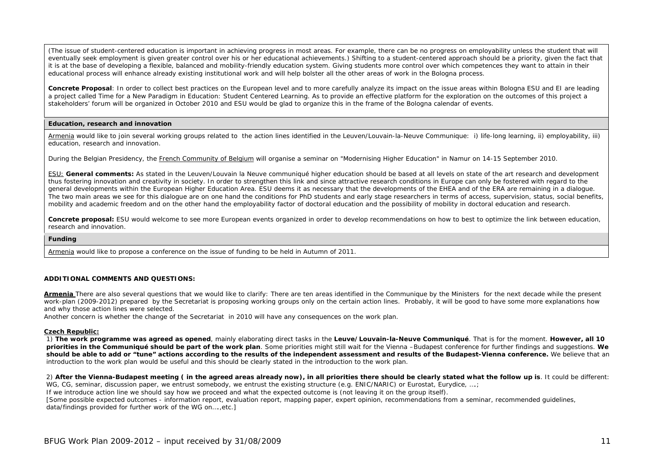(The issue of student-centered education is important in achieving progress in most areas. For example, there can be no progress on employability unless the student that will eventually seek employment is given greater control over his or her educational achievements.) Shifting to a student-centered approach should be a priority, given the fact that it is at the base of developing a flexible, balanced and mobility-friendly education system. Giving students more control over which competences they want to attain in their educational process will enhance already existing institutional work and will help bolster all the other areas of work in the Bologna process.

Concrete Proposal: In order to collect best practices on the European level and to more carefully analyze its impact on the issue areas within Bologna ESU and EI are leading a project called Time for a New Paradigm in Education: Student Centered Learning. As to provide an effective platform for the exploration on the outcomes of this project a stakeholders' forum will be organized in October 2010 and ESU would be glad to organize this in the frame of the Bologna calendar of events.

#### **Education, research and innovation**

Armenia would like to join several working groups related to the action lines identified in the Leuven/Louvain-la-Neuve Communique: i) life-long learning, ii) employability, iii) education, research and innovation.

During the Belgian Presidency, the French Community of Belgium will organise a seminar on "Modernising Higher Education" in Namur on 14-15 September 2010.

ESU: **General comments:** As stated in the Leuven/Louvain la Neuve communiqué higher education should be based at all levels on state of the art research and development thus fostering innovation and creativity in society. In order to strengthen this link and since attractive research conditions in Europe can only be fostered with regard to the general developments within the European Higher Education Area. ESU deems it as necessary that the developments of the EHEA and of the ERA are remaining in a dialogue. The two main areas we see for this dialogue are on one hand the conditions for PhD students and early stage researchers in terms of access, supervision, status, social benefits, mobility and academic freedom and on the other hand the employability factor of doctoral education and the possibility of mobility in doctoral education and research.

**Concrete proposal:** ESU would welcome to see more European events organized in order to develop recommendations on how to best to optimize the link between education, research and innovation.

#### **Funding**

Armenia would like to propose a conference on the issue of funding to be held in Autumn of 2011.

#### **ADDITIONAL COMMENTS AND QUESTIONS:**

**Armenia** There are also several questions that we would like to clarify: There are ten areas identified in the Communique by the Ministers for the next decade while the present work-plan (2009-2012) prepared by the Secretariat is proposing working groups only on the certain action lines. Probably, it will be good to have some more explanations how and why those action lines were selected.

Another concern is whether the change of the Secretariat in 2010 will have any consequences on the work plan.

#### **Czech Republic:**

1) **The work programme was agreed as opened**, mainly elaborating direct tasks in the **Leuve/Louvain-la-Neuve Communiqué**. That is for the moment. **However, all 10 priorities in the Communiqué should be part of the work plan**. Some priorities might still wait for the Vienna –Budapest conference for further findings and suggestions. **We**  should be able to add or "tune" actions according to the results of the independent assessment and results of the Budapest-Vienna conference. We believe that an introduction to the work plan would be useful and this should be clearly stated in the introduction to the work plan.

2) After the Vienna-Budapest meeting (in the agreed areas already now), in all priorities there should be clearly stated what the follow up is. It could be different: WG, CG, seminar, discussion paper, we entrust somebody, we entrust the existing structure (e.g. ENIC/NARIC) or Eurostat, Eurydice, ....;

If we introduce action line we should say how we proceed and what the expected outcome is (not leaving it on the group itself).

[Some possible expected outcomes - information report, evaluation report, mapping paper, expert opinion, recommendations from a seminar, recommended guidelines, data/findings provided for further work of the WG on….,etc.]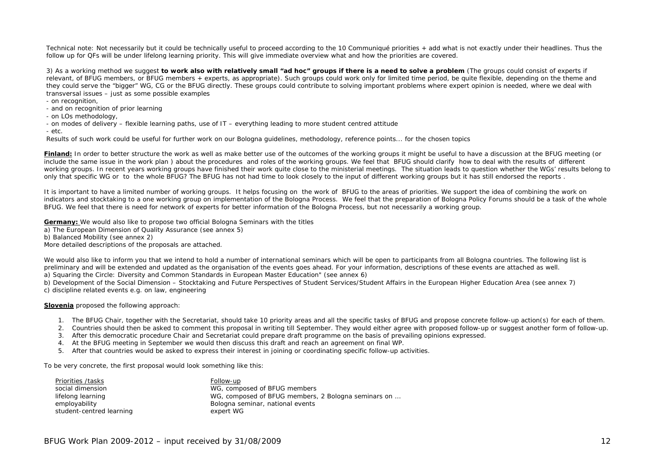Technical note: *Not necessarily but it could be technically useful to proceed according to the 10 Communiqué priorities + add what is not exactly under their headlines. Thus the follow up for QFs will be under lifelong learning priority. This will give immediate overview what and how the priorities are covered.* 

3) As a working method we suggest **to work also with relatively small "ad hoc" groups if there is a need to solve a problem** (The groups could consist of experts if relevant, of BFUG members, or BFUG members + experts, as appropriate). Such groups could work only for limited time period, be quite flexible, depending on the theme and they could serve the "bigger" WG, CG or the BFUG directly. These groups could contribute to solving important problems where expert opinion is needed, where we deal with transversal issues – just as some possible examples

- on recognition,
- and on recognition of prior learning
- on LOs methodology,
- on modes of delivery flexible learning paths, use of IT everything leading to more student centred attitude
- etc.

Results of such work could be useful for further work on our Bologna guidelines, methodology, reference points... for the chosen topics

Finland: In order to better structure the work as well as make better use of the outcomes of the working groups it might be useful to have a discussion at the BFUG meeting (or include the same issue in the work plan ) about the procedures and roles of the working groups. We feel that BFUG should clarify how to deal with the results of different working groups. In recent years working groups have finished their work quite close to the ministerial meetings. The situation leads to question whether the WGs' results belong to only that specific WG or to the whole BFUG? The BFUG has not had time to look closely to the input of different working groups but it has still endorsed the reports .

It is important to have a limited number of working groups. It helps focusing on the work of BFUG to the areas of priorities. We support the idea of combining the work on indicators and stocktaking to a one working group on implementation of the Bologna Process. We feel that the preparation of Bologna Policy Forums should be a task of the whole BFUG. We feel that there is need for network of experts for better information of the Bologna Process, but not necessarily a working group.

**Germany:** We would also like to propose two official Bologna Seminars with the titles a) The European Dimension of Quality Assurance (see annex 5) b) Balanced Mobility (see annex 2) More detailed descriptions of the proposals are attached.

We would also like to inform you that we intend to hold a number of international seminars which will be open to participants from all Bologna countries. The following list is preliminary and will be extended and updated as the organisation of the events goes ahead. For your information, descriptions of these events are attached as well. a) Squaring the Circle: Diversity and Common Standards in European Master Education" (see annex 6)

b) Development of the Social Dimension – Stocktaking and Future Perspectives of Student Services/Student Affairs in the European Higher Education Area (see annex 7) c) discipline related events e.g. on law, engineering

#### **Slovenia** proposed the following approach:

- 1. The BFUG Chair, together with the Secretariat, should take 10 priority areas and all the specific tasks of BFUG and propose concrete follow-up action(s) for each of them.
- 2. Countries should then be asked to comment this proposal in writing till September. They would either agree with proposed follow-up or suggest another form of follow-up.
- 3. After this democratic procedure Chair and Secretariat could prepare draft programme on the basis of prevailing opinions expressed.
- 4. At the BFUG meeting in September we would then discuss this draft and reach an agreement on final WP.
- 5. After that countries would be asked to express their interest in joining or coordinating specific follow-up activities.

To be very concrete, the first proposal would look something like this:

| Priorities /tasks        | Follow-up                                           |
|--------------------------|-----------------------------------------------------|
| social dimension         | WG, composed of BFUG members                        |
| lifelong learning        | WG, composed of BFUG members, 2 Bologna seminars on |
| employability            | Bologna seminar, national events                    |
| student-centred learning | expert WG                                           |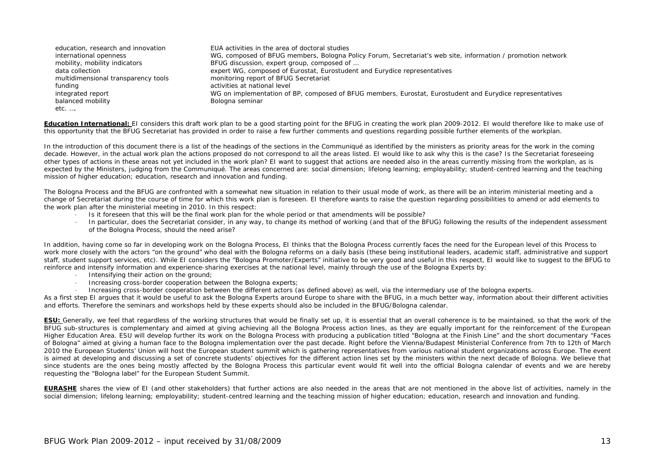education, research and innovation EUA activities in the area of doctoral studies international openness WG, composed of BFUG members, Bologna Policy Forum, Secretariat's web site, information / promotion network mobility, mobility indicators **BFUG** discussion, expert group, composed of ... data collection expert WG, composed of Eurostat, Eurostudent and Eurydice representatives multidimensional transparency tools monitoring report of BFUG Secretariat funding activities at national level integrated report WG on implementation of BP, composed of BFUG members, Eurostat, Eurostudent and Eurydice representatives balanced mobility balanced mobility etc. ….

**Education International:** EI considers this draft work plan to be a good starting point for the BFUG in creating the work plan 2009-2012. EI would therefore like to make use of this opportunity that the BFUG Secretariat has provided in order to raise a few further comments and questions regarding possible further elements of the workplan.

In the introduction of this document there is a list of the headings of the sections in the Communiqué as identified by the ministers as priority areas for the work in the coming decade. However, in the actual work plan the actions proposed do not correspond to all the areas listed. EI would like to ask why this is the case? Is the Secretariat foreseeing other types of actions in these areas not yet included in the work plan? EI want to suggest that actions are needed also in the areas currently missing from the workplan, as is expected by the Ministers, judging from the Communiqué. The areas concerned are: social dimension; lifelong learning; employability; student-centred learning and the teaching mission of higher education; education, research and innovation and funding.

The Bologna Process and the BFUG are confronted with a somewhat new situation in relation to their usual mode of work, as there will be an interim ministerial meeting and a change of Secretariat during the course of time for which this work plan is foreseen. EI therefore wants to raise the question regarding possibilities to amend or add elements to the work plan after the ministerial meeting in 2010. In this respect:

- Is it foreseen that this will be the final work plan for the whole period or that amendments will be possible?
- - In particular, does the Secretariat consider, in any way, to change its method of working (and that of the BFUG) following the results of the independent assessment of the Bologna Process, should the need arise?

In addition, having come so far in developing work on the Bologna Process. El thinks that the Bologna Process currently faces the need for the European level of this Process to work more closely with the actors "on the ground" who deal with the Bologna reforms on a daily basis (these being institutional leaders, academic staff, administrative and support staff, student support services, etc). While EI considers the "Bologna Promoter/Experts" initiative to be very good and useful in this respect, EI would like to suggest to the BFUG to reinforce and intensify information and experience-sharing exercises at the national level, mainly through the use of the Bologna Experts by:

- Intensifying their action on the ground;
- -Increasing cross-border cooperation between the Bologna experts;
- Increasing cross-border cooperation between the different actors (as defined above) as well, via the intermediary use of the bologna experts.

As a first step EI argues that it would be useful to ask the Bologna Experts around Europe to share with the BFUG, in a much better way, information about their different activities and efforts. Therefore the seminars and workshops held by these experts should also be included in the BFUG/Bologna calendar.

**ESU:** Generally, we feel that regardless of the working structures that would be finally set up, it is essential that an overall coherence is to be maintained, so that the work of the BFUG sub-structures is complementary and aimed at giving achieving all the Bologna Process action lines, as they are equally important for the reinforcement of the European Higher Education Area. ESU will develop further its work on the Bologna Process with producing a publication titled "Bologna at the Finish Line" and the short documentary "Faces of Bologna" aimed at giving a human face to the Bologna implementation over the past decade. Right before the Vienna/Budapest Ministerial Conference from 7th to 12th of March 2010 the European Students' Union will host the European student summit which is gathering representatives from various national student organizations across Europe. The event is aimed at developing and discussing a set of concrete students' objectives for the different action lines set by the ministers within the next decade of Bologna. We believe that since students are the ones being mostly affected by the Bologna Process this particular event would fit well into the official Bologna calendar of events and we are hereby requesting the "Bologna label" for the European Student Summit.

**EURASHE** shares the view of EI (and other stakeholders) that further actions are also needed in the areas that are not mentioned in the above list of activities, namely in the social dimension; lifelong learning; employability; student-centred learning and the teaching mission of higher education; education, research and innovation and funding.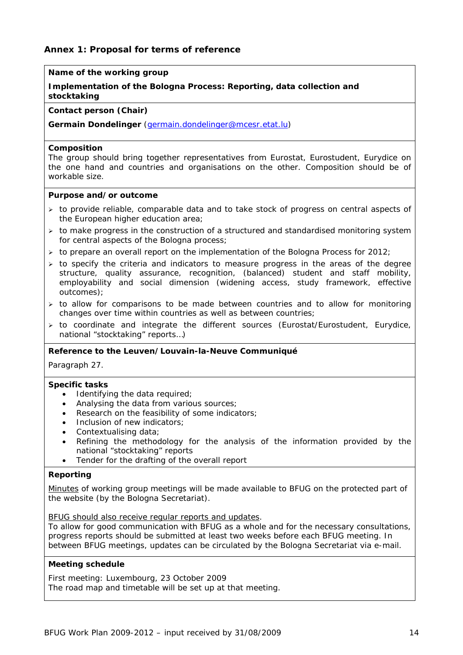# **Annex 1: Proposal for terms of reference**

# **Name of the working group**

## **Implementation of the Bologna Process: Reporting, data collection and stocktaking**

#### **Contact person (Chair)**

**Germain Dondelinger** (germain.dondelinger@mcesr.etat.lu)

#### **Composition**

The group should bring together representatives from Eurostat, Eurostudent, Eurydice on the one hand and countries and organisations on the other. Composition should be of workable size.

#### **Purpose and/or outcome**

- $\triangleright$  to provide reliable, comparable data and to take stock of progress on central aspects of the European higher education area;
- $\triangleright$  to make progress in the construction of a structured and standardised monitoring system for central aspects of the Bologna process;
- $\triangleright$  to prepare an overall report on the implementation of the Bologna Process for 2012;
- $\triangleright$  to specify the criteria and indicators to measure progress in the areas of the degree structure, quality assurance, recognition, (balanced) student and staff mobility, employability and social dimension (widening access, study framework, effective outcomes);
- $\ge$  to allow for comparisons to be made between countries and to allow for monitoring changes over time within countries as well as between countries;
- $\triangleright$  to coordinate and integrate the different sources (Eurostat/Eurostudent, Eurydice, national "stocktaking" reports…)

#### **Reference to the Leuven/Louvain-la-Neuve Communiqué**

Paragraph 27.

#### **Specific tasks**

- Identifying the data required;
- Analysing the data from various sources;
- Research on the feasibility of some indicators;
- Inclusion of new indicators:
- Contextualising data;
- Refining the methodology for the analysis of the information provided by the national "stocktaking" reports
- Tender for the drafting of the overall report

### **Reporting**

Minutes of working group meetings will be made available to BFUG on the protected part of the website (by the Bologna Secretariat).

#### BFUG should also receive regular reports and updates.

To allow for good communication with BFUG as a whole and for the necessary consultations, progress reports should be submitted at least two weeks before each BFUG meeting. In between BFUG meetings, updates can be circulated by the Bologna Secretariat via e-mail.

### **Meeting schedule**

First meeting: Luxembourg, 23 October 2009 The road map and timetable will be set up at that meeting.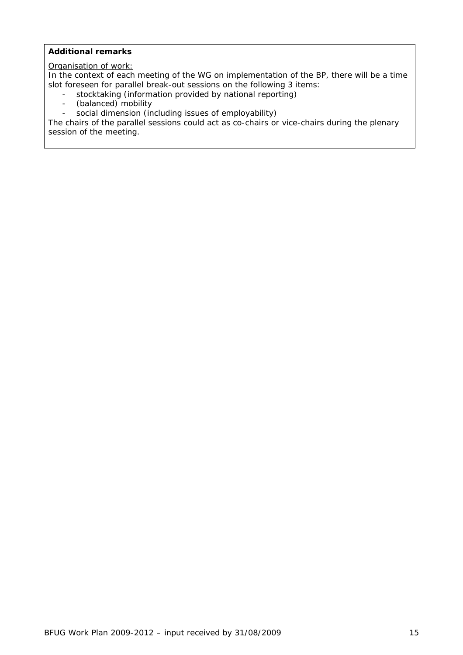## **Additional remarks**

# Organisation of work:

In the context of each meeting of the WG on implementation of the BP, there will be a time slot foreseen for parallel break-out sessions on the following 3 items:

- stocktaking (information provided by national reporting)
- (balanced) mobility
- social dimension (including issues of employability)

The chairs of the parallel sessions could act as co-chairs or vice-chairs during the plenary session of the meeting.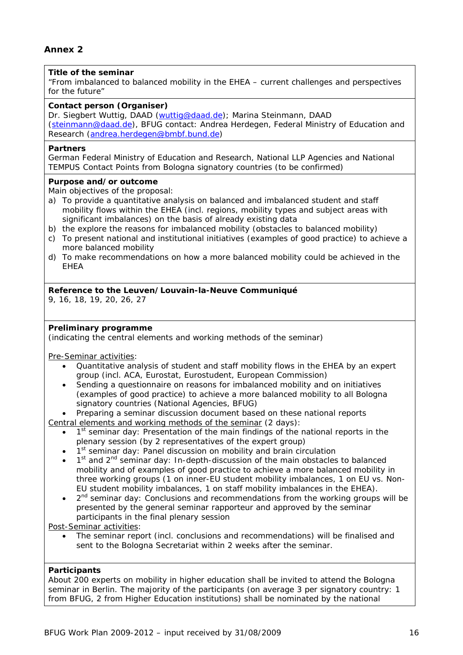# **Title of the seminar**

"From imbalanced to balanced mobility in the EHEA – current challenges and perspectives for the future"

#### **Contact person (Organiser)**

Dr. Siegbert Wuttig, DAAD (wuttig@daad.de); Marina Steinmann, DAAD (steinmann@daad.de), BFUG contact: Andrea Herdegen, Federal Ministry of Education and Research (andrea.herdegen@bmbf.bund.de)

#### **Partners**

German Federal Ministry of Education and Research, National LLP Agencies and National TEMPUS Contact Points from Bologna signatory countries (to be confirmed)

### **Purpose and/or outcome**

Main objectives of the proposal:

- a) To provide a quantitative analysis on balanced and imbalanced student and staff mobility flows within the EHEA (incl. regions, mobility types and subject areas with significant imbalances) on the basis of already existing data
- b) the explore the reasons for imbalanced mobility (obstacles to balanced mobility)
- c) To present national and institutional initiatives (examples of good practice) to achieve a more balanced mobility
- d) To make recommendations on how a more balanced mobility could be achieved in the EHEA

### **Reference to the Leuven/Louvain-la-Neuve Communiqué**

9, 16, 18, 19, 20, 26, 27

### **Preliminary programme**

(indicating the central elements and working methods of the seminar)

Pre-Seminar activities:

- Quantitative analysis of student and staff mobility flows in the EHEA by an expert group (incl. ACA, Eurostat, Eurostudent, European Commission)
- Sending a questionnaire on reasons for imbalanced mobility and on initiatives (examples of good practice) to achieve a more balanced mobility to all Bologna signatory countries (National Agencies, BFUG)
- Preparing a seminar discussion document based on these national reports
- Central elements and working methods of the seminar (2 days):
	- $1<sup>st</sup>$  seminar day: Presentation of the main findings of the national reports in the plenary session (by 2 representatives of the expert group)
	- 1<sup>st</sup> seminar day: Panel discussion on mobility and brain circulation
	- $1<sup>st</sup>$  and  $2<sup>nd</sup>$  seminar day: In-depth-discussion of the main obstacles to balanced mobility and of examples of good practice to achieve a more balanced mobility in three working groups (1 on inner-EU student mobility imbalances, 1 on EU vs. Non-EU student mobility imbalances, 1 on staff mobility imbalances in the EHEA).
	- 2<sup>nd</sup> seminar day: Conclusions and recommendations from the working groups will be presented by the general seminar rapporteur and approved by the seminar participants in the final plenary session

Post-Seminar activities:

• The seminar report (incl. conclusions and recommendations) will be finalised and sent to the Bologna Secretariat within 2 weeks after the seminar.

### **Participants**

About 200 experts on mobility in higher education shall be invited to attend the Bologna seminar in Berlin. The majority of the participants (on average 3 per signatory country: 1 from BFUG, 2 from Higher Education institutions) shall be nominated by the national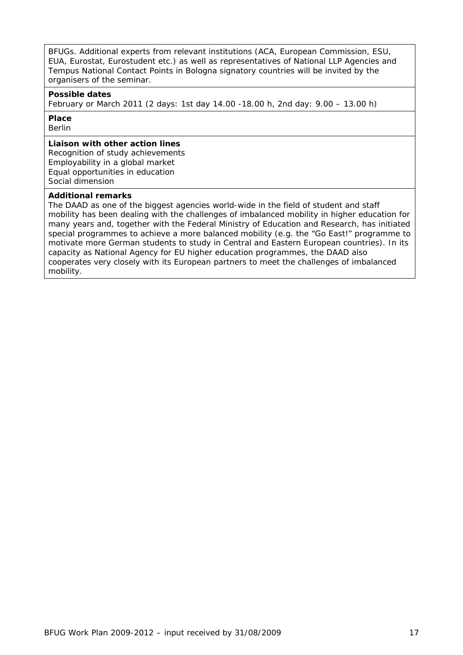BFUGs. Additional experts from relevant institutions (ACA, European Commission, ESU, EUA, Eurostat, Eurostudent etc.) as well as representatives of National LLP Agencies and Tempus National Contact Points in Bologna signatory countries will be invited by the organisers of the seminar.

#### **Possible dates**

February or March 2011 (2 days: 1st day 14.00 -18.00 h, 2nd day: 9.00 – 13.00 h)

# **Place**

Berlin

### **Liaison with other action lines**

Recognition of study achievements Employability in a global market Equal opportunities in education Social dimension

### **Additional remarks**

The DAAD as one of the biggest agencies world-wide in the field of student and staff mobility has been dealing with the challenges of imbalanced mobility in higher education for many years and, together with the Federal Ministry of Education and Research, has initiated special programmes to achieve a more balanced mobility (e.g. the "Go East!" programme to motivate more German students to study in Central and Eastern European countries). In its capacity as National Agency for EU higher education programmes, the DAAD also cooperates very closely with its European partners to meet the challenges of imbalanced mobility.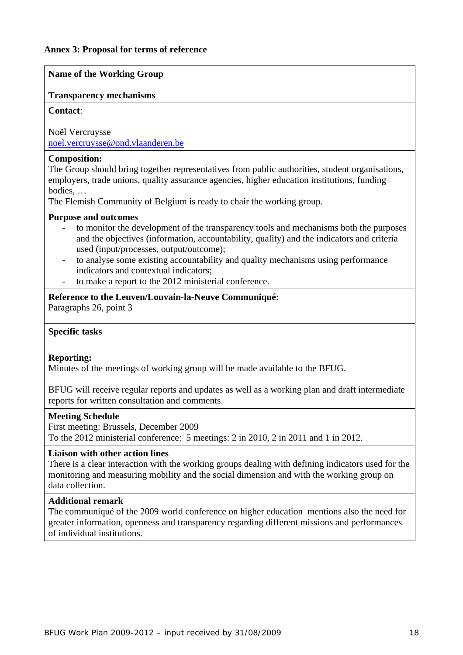### **Name of the Working Group**

## **Transparency mechanisms**

### **Contact**:

Noël Vercruysse noel.vercruysse@ond.vlaanderen.be

## **Composition:**

The Group should bring together representatives from public authorities, student organisations, employers, trade unions, quality assurance agencies, higher education institutions, funding bodies, …

The Flemish Community of Belgium is ready to chair the working group.

### **Purpose and outcomes**

- to monitor the development of the transparency tools and mechanisms both the purposes and the objectives (information, accountability, quality) and the indicators and criteria used (input/processes, output/outcome);
- to analyse some existing accountability and quality mechanisms using performance indicators and contextual indicators;
- to make a report to the 2012 ministerial conference.

# **Reference to the Leuven/Louvain-la-Neuve Communiqué:**

Paragraphs 26, point 3

# **Specific tasks**

### **Reporting:**

Minutes of the meetings of working group will be made available to the BFUG.

BFUG will receive regular reports and updates as well as a working plan and draft intermediate reports for written consultation and comments.

### **Meeting Schedule**

First meeting: Brussels, December 2009 To the 2012 ministerial conference: 5 meetings: 2 in 2010, 2 in 2011 and 1 in 2012.

# **Liaison with other action lines**

There is a clear interaction with the working groups dealing with defining indicators used for the monitoring and measuring mobility and the social dimension and with the working group on data collection.

### **Additional remark**

The communiqué of the 2009 world conference on higher education mentions also the need for greater information, openness and transparency regarding different missions and performances of individual institutions.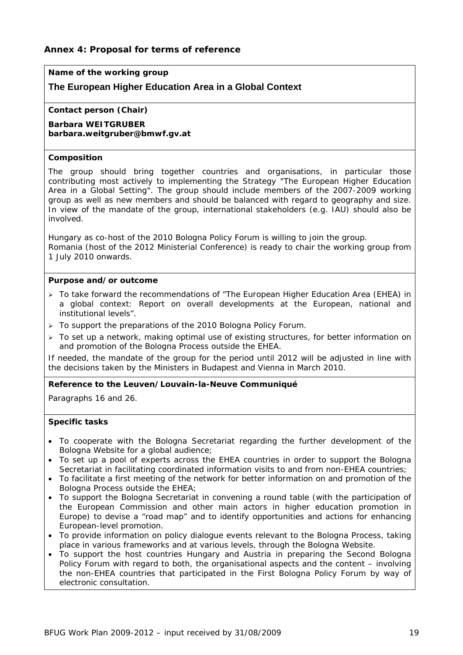# **Name of the working group**

# **The European Higher Education Area in a Global Context**

#### **Contact person (Chair)**

**Barbara WEITGRUBER barbara.weitgruber@bmwf.gv.at** 

#### **Composition**

The group should bring together countries and organisations, in particular those contributing most actively to implementing the Strategy "The European Higher Education Area in a Global Setting". The group should include members of the 2007-2009 working group as well as new members and should be balanced with regard to geography and size. In view of the mandate of the group, international stakeholders (e.g. IAU) should also be involved.

Hungary as co-host of the 2010 Bologna Policy Forum is willing to join the group. Romania (host of the 2012 Ministerial Conference) is ready to chair the working group from 1 July 2010 onwards.

#### **Purpose and/or outcome**

- $\geq$  To take forward the recommendations of "The European Higher Education Area (EHEA) in a global context: Report on overall developments at the European, national and institutional levels".
- ¾ To support the preparations of the 2010 Bologna Policy Forum.
- $\geq$  To set up a network, making optimal use of existing structures, for better information on and promotion of the Bologna Process outside the EHEA.

*If needed, the mandate of the group for the period until 2012 will be adjusted in line with the decisions taken by the Ministers in Budapest and Vienna in March 2010.* 

### **Reference to the Leuven/Louvain-la-Neuve Communiqué**

Paragraphs 16 and 26.

### **Specific tasks**

- To cooperate with the Bologna Secretariat regarding the further development of the Bologna Website for a global audience;
- To set up a pool of experts across the EHEA countries in order to support the Bologna Secretariat in facilitating coordinated information visits to and from non-EHEA countries;
- To facilitate a first meeting of the network for better information on and promotion of the Bologna Process outside the EHEA;
- To support the Bologna Secretariat in convening a round table (with the participation of the European Commission and other main actors in higher education promotion in Europe) to devise a "road map" and to identify opportunities and actions for enhancing European-level promotion.
- To provide information on policy dialogue events relevant to the Bologna Process, taking place in various frameworks and at various levels, through the Bologna Website.
- To support the host countries Hungary and Austria in preparing the Second Bologna Policy Forum with regard to both, the organisational aspects and the content – involving the non-EHEA countries that participated in the First Bologna Policy Forum by way of electronic consultation.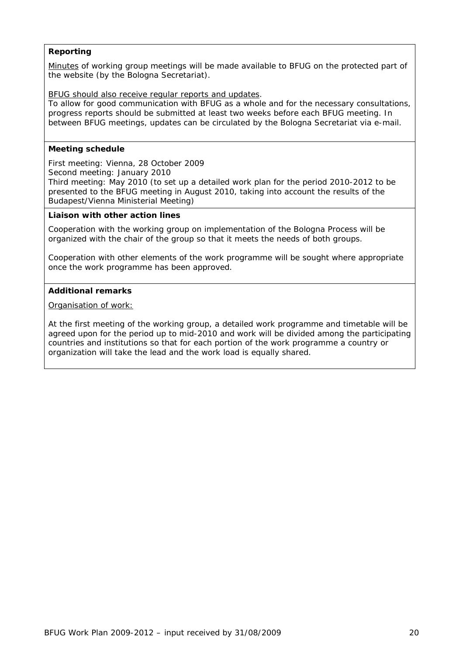# **Reporting**

Minutes of working group meetings will be made available to BFUG on the protected part of the website (by the Bologna Secretariat).

BFUG should also receive regular reports and updates.

To allow for good communication with BFUG as a whole and for the necessary consultations, progress reports should be submitted at least two weeks before each BFUG meeting. In between BFUG meetings, updates can be circulated by the Bologna Secretariat via e-mail.

### **Meeting schedule**

First meeting: Vienna, 28 October 2009 Second meeting: January 2010 Third meeting: May 2010 (to set up a detailed work plan for the period 2010-2012 to be presented to the BFUG meeting in August 2010, taking into account the results of the Budapest/Vienna Ministerial Meeting)

#### **Liaison with other action lines**

Cooperation with the working group on implementation of the Bologna Process will be organized with the chair of the group so that it meets the needs of both groups.

Cooperation with other elements of the work programme will be sought where appropriate once the work programme has been approved.

#### **Additional remarks**

Organisation of work:

At the first meeting of the working group, a detailed work programme and timetable will be agreed upon for the period up to mid-2010 and work will be divided among the participating countries and institutions so that for each portion of the work programme a country or organization will take the lead and the work load is equally shared.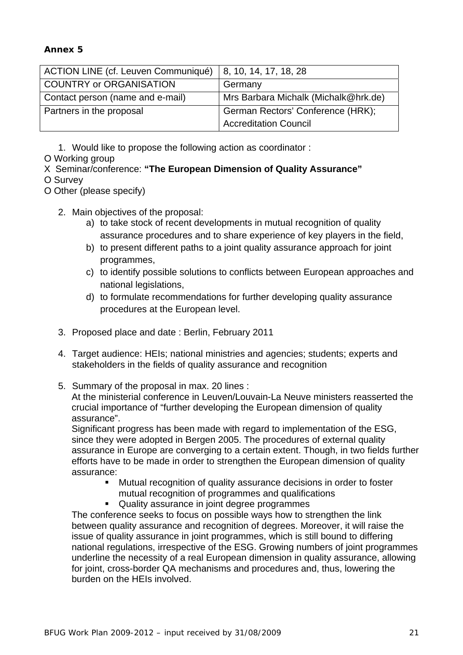# **Annex 5**

| <b>ACTION LINE (cf. Leuven Communiqué)</b> | 8, 10, 14, 17, 18, 28                |
|--------------------------------------------|--------------------------------------|
| COUNTRY or ORGANISATION                    | Germany                              |
| Contact person (name and e-mail)           | Mrs Barbara Michalk (Michalk@hrk.de) |
| Partners in the proposal                   | German Rectors' Conference (HRK);    |
|                                            | <b>Accreditation Council</b>         |

1. Would like to propose the following action as coordinator :

O Working group

X Seminar/conference: **"The European Dimension of Quality Assurance"**

O Survey

O Other (please specify)

- 2. Main objectives of the proposal:
	- a) to take stock of recent developments in mutual recognition of quality assurance procedures and to share experience of key players in the field,
	- b) to present different paths to a joint quality assurance approach for joint programmes,
	- c) to identify possible solutions to conflicts between European approaches and national legislations,
	- d) to formulate recommendations for further developing quality assurance procedures at the European level.
- 3. Proposed place and date : Berlin, February 2011
- 4. Target audience: HEIs; national ministries and agencies; students; experts and stakeholders in the fields of quality assurance and recognition
- 5. Summary of the proposal in max. 20 lines :

At the ministerial conference in Leuven/Louvain-La Neuve ministers reasserted the crucial importance of "further developing the European dimension of quality assurance".

Significant progress has been made with regard to implementation of the ESG, since they were adopted in Bergen 2005. The procedures of external quality assurance in Europe are converging to a certain extent. Though, in two fields further efforts have to be made in order to strengthen the European dimension of quality assurance:

- Mutual recognition of quality assurance decisions in order to foster mutual recognition of programmes and qualifications
- Quality assurance in joint degree programmes

The conference seeks to focus on possible ways how to strengthen the link between quality assurance and recognition of degrees. Moreover, it will raise the issue of quality assurance in joint programmes, which is still bound to differing national regulations, irrespective of the ESG. Growing numbers of joint programmes underline the necessity of a real European dimension in quality assurance, allowing for joint, cross-border QA mechanisms and procedures and, thus, lowering the burden on the HEIs involved.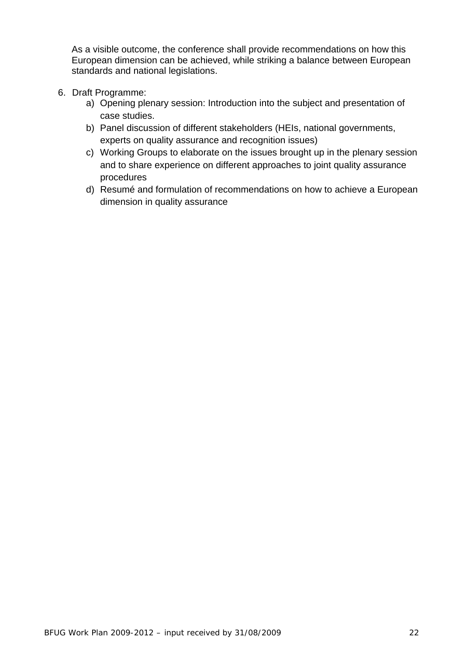As a visible outcome, the conference shall provide recommendations on how this European dimension can be achieved, while striking a balance between European standards and national legislations.

- 6. Draft Programme:
	- a) Opening plenary session: Introduction into the subject and presentation of case studies.
	- b) Panel discussion of different stakeholders (HEIs, national governments, experts on quality assurance and recognition issues)
	- c) Working Groups to elaborate on the issues brought up in the plenary session and to share experience on different approaches to joint quality assurance procedures
	- d) Resumé and formulation of recommendations on how to achieve a European dimension in quality assurance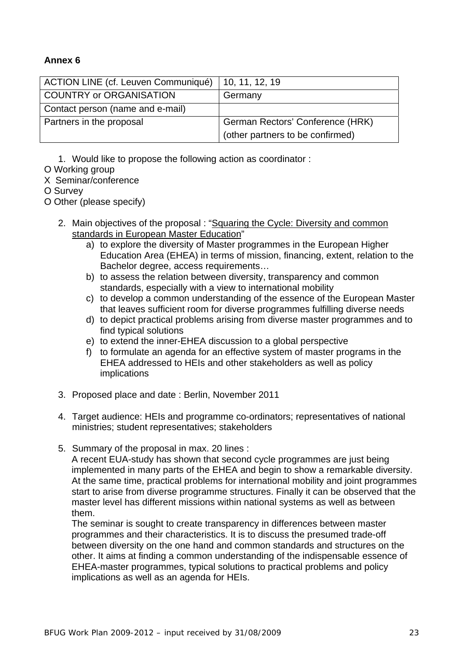# **Annex 6**

| <b>ACTION LINE (cf. Leuven Communiqué)</b> | 10, 11, 12, 19                   |
|--------------------------------------------|----------------------------------|
| <b>COUNTRY or ORGANISATION</b>             | Germany                          |
| Contact person (name and e-mail)           |                                  |
| Partners in the proposal                   | German Rectors' Conference (HRK) |
|                                            | (other partners to be confirmed) |

1. Would like to propose the following action as coordinator :

- O Working group
- X Seminar/conference
- O Survey

O Other (please specify)

- 2. Main objectives of the proposal : "Squaring the Cycle: Diversity and common standards in European Master Education"
	- a) to explore the diversity of Master programmes in the European Higher Education Area (EHEA) in terms of mission, financing, extent, relation to the Bachelor degree, access requirements…
	- b) to assess the relation between diversity, transparency and common standards, especially with a view to international mobility
	- c) to develop a common understanding of the essence of the European Master that leaves sufficient room for diverse programmes fulfilling diverse needs
	- d) to depict practical problems arising from diverse master programmes and to find typical solutions
	- e) to extend the inner-EHEA discussion to a global perspective
	- f) to formulate an agenda for an effective system of master programs in the EHEA addressed to HEIs and other stakeholders as well as policy implications
- 3. Proposed place and date : Berlin, November 2011
- 4. Target audience: HEIs and programme co-ordinators; representatives of national ministries; student representatives; stakeholders
- 5. Summary of the proposal in max. 20 lines :

A recent EUA-study has shown that second cycle programmes are just being implemented in many parts of the EHEA and begin to show a remarkable diversity. At the same time, practical problems for international mobility and joint programmes start to arise from diverse programme structures. Finally it can be observed that the master level has different missions within national systems as well as between them.

The seminar is sought to create transparency in differences between master programmes and their characteristics. It is to discuss the presumed trade-off between diversity on the one hand and common standards and structures on the other. It aims at finding a common understanding of the indispensable essence of EHEA-master programmes, typical solutions to practical problems and policy implications as well as an agenda for HEIs.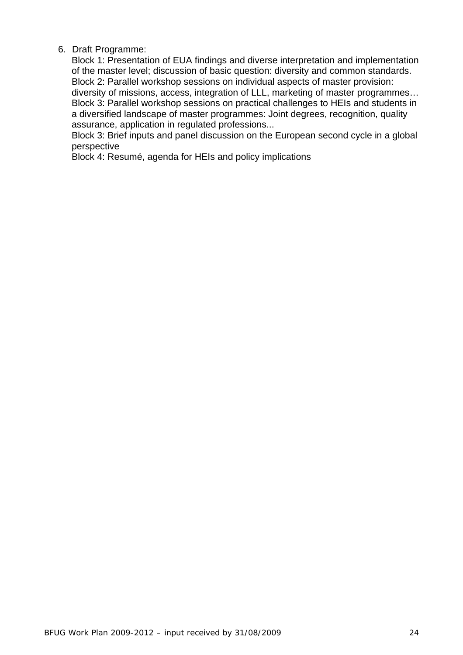# 6. Draft Programme:

Block 1: Presentation of EUA findings and diverse interpretation and implementation of the master level; discussion of basic question: diversity and common standards. Block 2: Parallel workshop sessions on individual aspects of master provision: diversity of missions, access, integration of LLL, marketing of master programmes… Block 3: Parallel workshop sessions on practical challenges to HEIs and students in a diversified landscape of master programmes: Joint degrees, recognition, quality assurance, application in regulated professions...

Block 3: Brief inputs and panel discussion on the European second cycle in a global perspective

Block 4: Resumé, agenda for HEIs and policy implications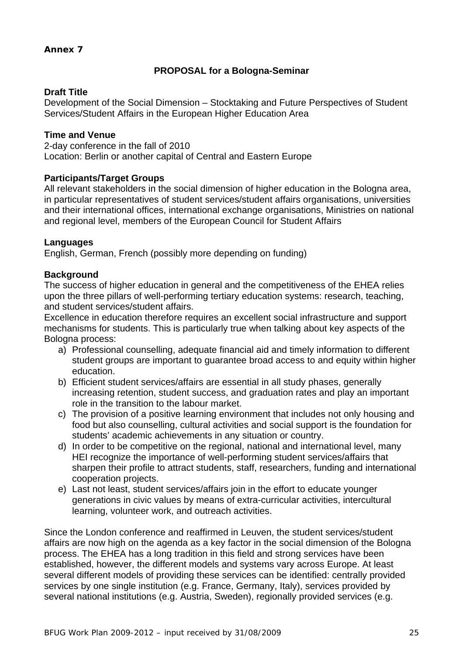# **Annex 7**

# **PROPOSAL for a Bologna-Seminar**

# **Draft Title**

Development of the Social Dimension – Stocktaking and Future Perspectives of Student Services/Student Affairs in the European Higher Education Area

# **Time and Venue**

2-day conference in the fall of 2010 Location: Berlin or another capital of Central and Eastern Europe

# **Participants/Target Groups**

All relevant stakeholders in the social dimension of higher education in the Bologna area, in particular representatives of student services/student affairs organisations, universities and their international offices, international exchange organisations, Ministries on national and regional level, members of the European Council for Student Affairs

# **Languages**

English, German, French (possibly more depending on funding)

# **Background**

The success of higher education in general and the competitiveness of the EHEA relies upon the three pillars of well-performing tertiary education systems: research, teaching, and student services/student affairs.

Excellence in education therefore requires an excellent social infrastructure and support mechanisms for students. This is particularly true when talking about key aspects of the Bologna process:

- a) Professional counselling, adequate financial aid and timely information to different student groups are important to guarantee broad access to and equity within higher education.
- b) Efficient student services/affairs are essential in all study phases, generally increasing retention, student success, and graduation rates and play an important role in the transition to the labour market.
- c) The provision of a positive learning environment that includes not only housing and food but also counselling, cultural activities and social support is the foundation for students' academic achievements in any situation or country.
- d) In order to be competitive on the regional, national and international level, many HEI recognize the importance of well-performing student services/affairs that sharpen their profile to attract students, staff, researchers, funding and international cooperation projects.
- e) Last not least, student services/affairs join in the effort to educate younger generations in civic values by means of extra-curricular activities, intercultural learning, volunteer work, and outreach activities.

Since the London conference and reaffirmed in Leuven, the student services/student affairs are now high on the agenda as a key factor in the social dimension of the Bologna process. The EHEA has a long tradition in this field and strong services have been established, however, the different models and systems vary across Europe. At least several different models of providing these services can be identified: centrally provided services by one single institution (e.g. France, Germany, Italy), services provided by several national institutions (e.g. Austria, Sweden), regionally provided services (e.g.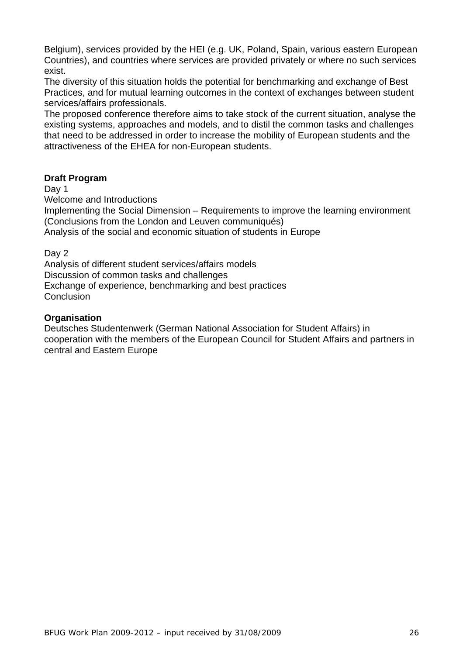Belgium), services provided by the HEI (e.g. UK, Poland, Spain, various eastern European Countries), and countries where services are provided privately or where no such services exist.

The diversity of this situation holds the potential for benchmarking and exchange of Best Practices, and for mutual learning outcomes in the context of exchanges between student services/affairs professionals.

The proposed conference therefore aims to take stock of the current situation, analyse the existing systems, approaches and models, and to distil the common tasks and challenges that need to be addressed in order to increase the mobility of European students and the attractiveness of the EHEA for non-European students.

# **Draft Program**

Day 1

Welcome and Introductions

Implementing the Social Dimension – Requirements to improve the learning environment (Conclusions from the London and Leuven communiqués)

Analysis of the social and economic situation of students in Europe

Day 2

Analysis of different student services/affairs models Discussion of common tasks and challenges Exchange of experience, benchmarking and best practices **Conclusion** 

# **Organisation**

Deutsches Studentenwerk (German National Association for Student Affairs) in cooperation with the members of the European Council for Student Affairs and partners in central and Eastern Europe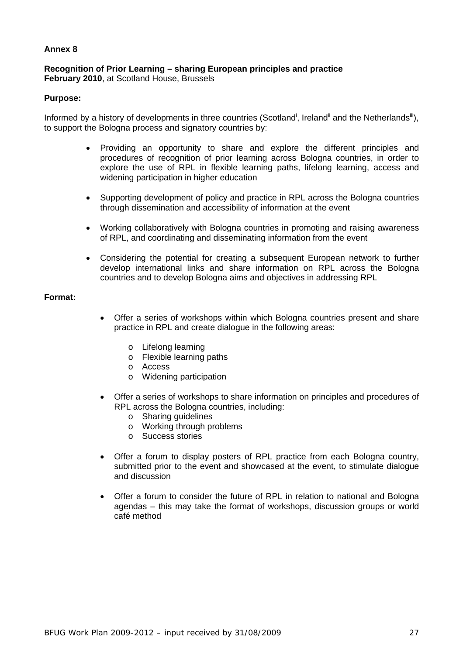### **Annex 8**

## **Recognition of Prior Learning – sharing European principles and practice February 2010**, at Scotland House, Brussels

### **Purpose:**

Informed by a history of developments in three countries (Scotland<sup>i</sup>, Ireland<sup>ii</sup> and the Netherlands<sup>iii</sup>), to support the Bologna process and signatory countries by:

- Providing an opportunity to share and explore the different principles and procedures of recognition of prior learning across Bologna countries, in order to explore the use of RPL in flexible learning paths, lifelong learning, access and widening participation in higher education
- Supporting development of policy and practice in RPL across the Bologna countries through dissemination and accessibility of information at the event
- Working collaboratively with Bologna countries in promoting and raising awareness of RPL, and coordinating and disseminating information from the event
- Considering the potential for creating a subsequent European network to further develop international links and share information on RPL across the Bologna countries and to develop Bologna aims and objectives in addressing RPL

### **Format:**

- Offer a series of workshops within which Bologna countries present and share practice in RPL and create dialogue in the following areas:
	- o Lifelong learning
	- o Flexible learning paths
	- o Access
	- o Widening participation
- Offer a series of workshops to share information on principles and procedures of RPL across the Bologna countries, including:
	- o Sharing guidelines
	- o Working through problems
	- o Success stories
- Offer a forum to display posters of RPL practice from each Bologna country, submitted prior to the event and showcased at the event, to stimulate dialogue and discussion
- Offer a forum to consider the future of RPL in relation to national and Bologna agendas – this may take the format of workshops, discussion groups or world café method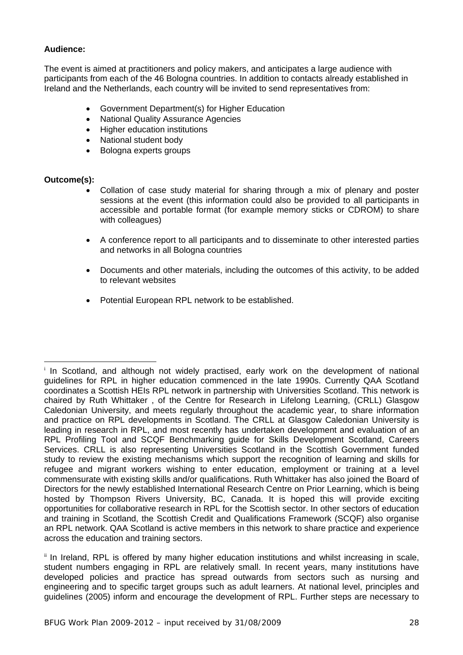# **Audience:**

The event is aimed at practitioners and policy makers, and anticipates a large audience with participants from each of the 46 Bologna countries. In addition to contacts already established in Ireland and the Netherlands, each country will be invited to send representatives from:

- Government Department(s) for Higher Education
- National Quality Assurance Agencies
- Higher education institutions
- National student body
- Bologna experts groups

# **Outcome(s):**

- Collation of case study material for sharing through a mix of plenary and poster sessions at the event (this information could also be provided to all participants in accessible and portable format (for example memory sticks or CDROM) to share with colleagues)
- A conference report to all participants and to disseminate to other interested parties and networks in all Bologna countries
- Documents and other materials, including the outcomes of this activity, to be added to relevant websites
- Potential European RPL network to be established.

 $\overline{a}$ <sup>i</sup> In Scotland, and although not widely practised, early work on the development of national guidelines for RPL in higher education commenced in the late 1990s. Currently QAA Scotland coordinates a Scottish HEIs RPL network in partnership with Universities Scotland. This network is chaired by Ruth Whittaker , of the Centre for Research in Lifelong Learning, (CRLL) Glasgow Caledonian University, and meets regularly throughout the academic year, to share information and practice on RPL developments in Scotland. The CRLL at Glasgow Caledonian University is leading in research in RPL, and most recently has undertaken development and evaluation of an RPL Profiling Tool and SCQF Benchmarking guide for Skills Development Scotland, Careers Services. CRLL is also representing Universities Scotland in the Scottish Government funded study to review the existing mechanisms which support the recognition of learning and skills for refugee and migrant workers wishing to enter education, employment or training at a level commensurate with existing skills and/or qualifications. Ruth Whittaker has also joined the Board of Directors for the newly established International Research Centre on Prior Learning, which is being hosted by Thompson Rivers University, BC, Canada. It is hoped this will provide exciting opportunities for collaborative research in RPL for the Scottish sector. In other sectors of education and training in Scotland, the Scottish Credit and Qualifications Framework (SCQF) also organise an RPL network. QAA Scotland is active members in this network to share practice and experience across the education and training sectors.

<sup>&</sup>lt;sup>ii</sup> In Ireland, RPL is offered by many higher education institutions and whilst increasing in scale, student numbers engaging in RPL are relatively small. In recent years, many institutions have developed policies and practice has spread outwards from sectors such as nursing and engineering and to specific target groups such as adult learners. At national level, principles and guidelines (2005) inform and encourage the development of RPL. Further steps are necessary to